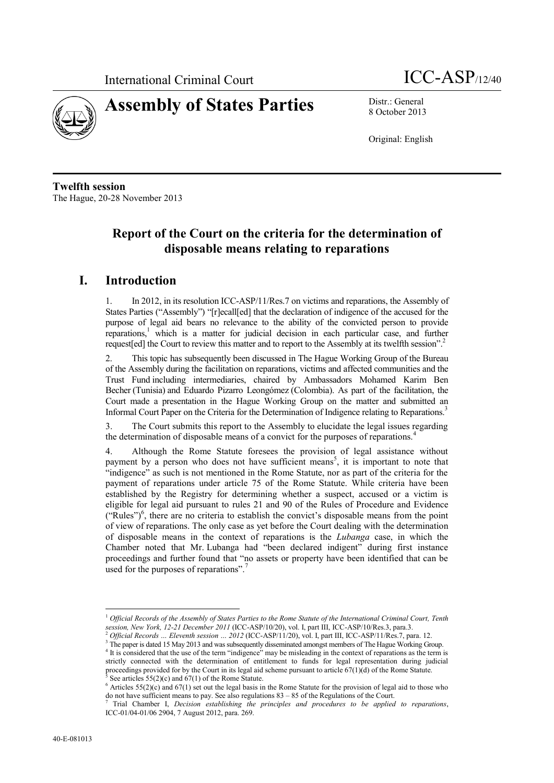



8 October 2013

Original: English

**Twelfth session** The Hague, 20-28 November 2013

## **Report of the Court on the criteria for the determination of disposable means relating to reparations**

## **I. Introduction**

1. In 2012, in its resolution ICC-ASP/11/Res.7 on victims and reparations, the Assembly of States Parties ("Assembly") "[r]ecall[ed] that the declaration of indigence of the accused for the purpose of legal aid bears no relevance to the ability of the convicted person to provide reparations,<sup>1</sup> which is a matter for judicial decision in each particular case, and further request [ed] the Court to review this matter and to report to the Assembly at its twelfth session".<sup>2</sup>

2. This topic has subsequently been discussed in The Hague Working Group of the Bureau of the Assembly during the facilitation on reparations, victims and affected communities and the Trust Fund including intermediaries, chaired by Ambassadors Mohamed Karim Ben Becher (Tunisia) and Eduardo Pizarro Leongómez (Colombia). As part of the facilitation, the Court made a presentation in the Hague Working Group on the matter and submitted an Informal Court Paper on the Criteria for the Determination of Indigence relating to Reparations.<sup>3</sup>

3. The Court submits this report to the Assembly to elucidate the legal issues regarding the determination of disposable means of a convict for the purposes of reparations.<sup>4</sup>

4. Although the Rome Statute foresees the provision of legal assistance without payment by a person who does not have sufficient means<sup>5</sup>, it is important to note that "indigence" as such is not mentioned in the Rome Statute, nor as part of the criteria for the payment of reparations under article 75 of the Rome Statute. While criteria have been established by the Registry for determining whether a suspect, accused or a victim is eligible for legal aid pursuant to rules 21 and 90 of the Rules of Procedure and Evidence ("Rules")<sup>6</sup> , there are no criteria to establish the convict's disposable means from the point of view of reparations. The only case as yet before the Court dealing with the determination of disposable means in the context of reparations is the *Lubanga* case, in which the Chamber noted that Mr. Lubanga had "been declared indigent" during first instance proceedings and further found that "no assets or property have been identified that can be used for the purposes of reparations".<sup>7</sup>

1

<sup>1</sup> *Official Records of the Assembly of States Parties to the Rome Statute of the International Criminal Court, Tenth session, New York, 12-21 December 2011* (ICC-ASP/10/20), vol. I, part III, ICC-ASP/10/Res.3, para.3.

<sup>2</sup> *Official Records … Eleventh session … 2012* (ICC-ASP/11/20), vol. I, part III, ICC-ASP/11/Res.7, para. 12.

<sup>&</sup>lt;sup>3</sup> The paper is dated 15 May 2013 and was subsequently disseminated amongst members of The Hague Working Group. <sup>4</sup> It is considered that the use of the term "indigence" may be misleading in the context of reparations as the term is strictly connected with the determination of entitlement to funds for legal representation during judicial

proceedings provided for by the Court in its legal aid scheme pursuant to article 67(1)(d) of the Rome Statute. See articles  $55(2)(c)$  and  $67(1)$  of the Rome Statute.

<sup>&</sup>lt;sup>6</sup> Articles 55(2)(c) and 67(1) set out the legal basis in the Rome Statute for the provision of legal aid to those who do not have sufficient means to pay. See also regulations 83 – 85 of the Regulations of the Court.

<sup>7</sup> Trial Chamber I, *Decision establishing the principles and procedures to be applied to reparations*, ICC-01/04-01/06 2904, 7 August 2012, para. 269.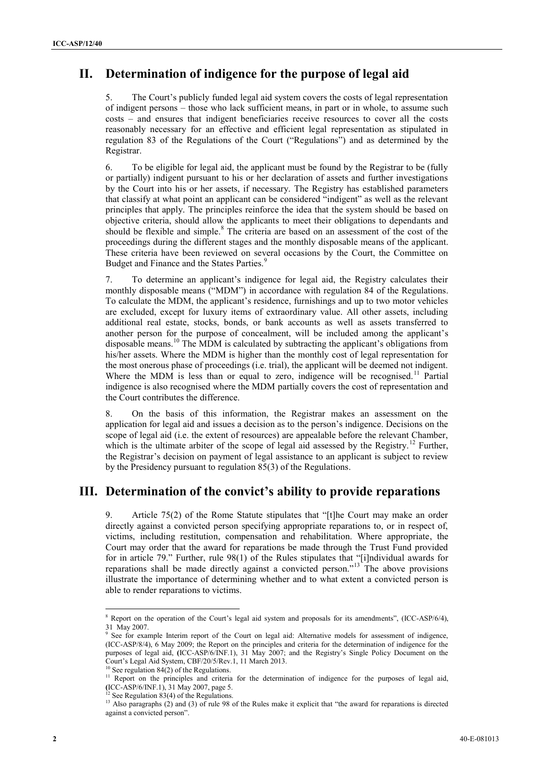## **II. Determination of indigence for the purpose of legal aid**

5. The Court's publicly funded legal aid system covers the costs of legal representation of indigent persons – those who lack sufficient means, in part or in whole, to assume such costs – and ensures that indigent beneficiaries receive resources to cover all the costs reasonably necessary for an effective and efficient legal representation as stipulated in regulation 83 of the Regulations of the Court ("Regulations") and as determined by the Registrar.

6. To be eligible for legal aid, the applicant must be found by the Registrar to be (fully or partially) indigent pursuant to his or her declaration of assets and further investigations by the Court into his or her assets, if necessary. The Registry has established parameters that classify at what point an applicant can be considered "indigent" as well as the relevant principles that apply. The principles reinforce the idea that the system should be based on objective criteria, should allow the applicants to meet their obligations to dependants and should be flexible and simple.<sup>8</sup> The criteria are based on an assessment of the cost of the proceedings during the different stages and the monthly disposable means of the applicant. These criteria have been reviewed on several occasions by the Court, the Committee on Budget and Finance and the States Parties.<sup>9</sup>

7. To determine an applicant's indigence for legal aid, the Registry calculates their monthly disposable means ("MDM") in accordance with regulation 84 of the Regulations. To calculate the MDM, the applicant's residence, furnishings and up to two motor vehicles are excluded, except for luxury items of extraordinary value. All other assets, including additional real estate, stocks, bonds, or bank accounts as well as assets transferred to another person for the purpose of concealment, will be included among the applicant's disposable means.<sup>10</sup> The MDM is calculated by subtracting the applicant's obligations from his/her assets. Where the MDM is higher than the monthly cost of legal representation for the most onerous phase of proceedings (i.e. trial), the applicant will be deemed not indigent. Where the MDM is less than or equal to zero, indigence will be recognised.<sup>11</sup> Partial indigence is also recognised where the MDM partially covers the cost of representation and the Court contributes the difference.

8. On the basis of this information, the Registrar makes an assessment on the application for legal aid and issues a decision as to the person's indigence. Decisions on the scope of legal aid (i.e. the extent of resources) are appealable before the relevant Chamber, which is the ultimate arbiter of the scope of legal aid assessed by the Registry.<sup>12</sup> Further, the Registrar's decision on payment of legal assistance to an applicant is subject to review by the Presidency pursuant to regulation 85(3) of the Regulations.

## **III. Determination of the convict's ability to provide reparations**

Article 75(2) of the Rome Statute stipulates that "[t]he Court may make an order directly against a convicted person specifying appropriate reparations to, or in respect of, victims, including restitution, compensation and rehabilitation. Where appropriate, the Court may order that the award for reparations be made through the Trust Fund provided for in article 79." Further, rule 98(1) of the Rules stipulates that "[i]ndividual awards for reparations shall be made directly against a convicted person."<sup>13</sup> The above provisions illustrate the importance of determining whether and to what extent a convicted person is able to render reparations to victims.

1

 $8$  Report on the operation of the Court's legal aid system and proposals for its amendments", (ICC-ASP/6/4), 31 May 2007.

<sup>&</sup>lt;sup>9</sup> See for example Interim report of the Court on legal aid: Alternative models for assessment of indigence, (ICC-ASP/8/4), 6 May 2009; the Report on the principles and criteria for the determination of indigence for the purposes of legal aid, **(**ICC-ASP/6/INF.1), 31 May 2007; and the Registry's Single Policy Document on the Court's Legal Aid System, CBF/20/5/Rev.1, 11 March 2013.

 $10$  See regulation 84(2) of the Regulations.

 $11$  Report on the principles and criteria for the determination of indigence for the purposes of legal aid, **(ICC-ASP/6/INF.1), 31 May 2007, page 5.**<br><sup>12</sup> See P. **12** Company 2007, page 5.

 $2$  See Regulation 83(4) of the Regulations.

<sup>&</sup>lt;sup>13</sup> Also paragraphs (2) and (3) of rule 98 of the Rules make it explicit that "the award for reparations is directed against a convicted person".